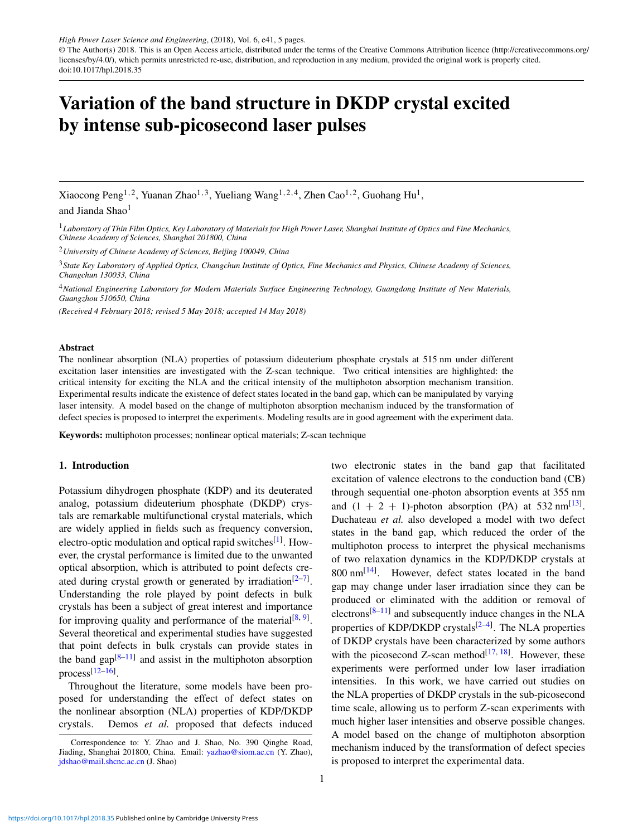*High Power Laser Science and Engineering*, (2018), Vol. 6, e41, 5 pages. © The Author(s) 2018. This is an Open Access article, distributed under the terms of the Creative Commons Attribution licence [\(http://creativecommons.org/](http://creativecommons.org/licenses/by/4.0/) [licenses/by/4.0/\)](http://creativecommons.org/licenses/by/4.0/), which permits unrestricted re-use, distribution, and reproduction in any medium, provided the original work is properly cited. doi:10.1017/hpl.2018.35

# Variation of the band structure in DKDP crystal excited by intense sub-picosecond laser pulses

Xiaocong Peng<sup>1,2</sup>, Yuanan Zhao<sup>1,3</sup>, Yueliang Wang<sup>1,2,4</sup>, Zhen Cao<sup>1,2</sup>, Guohang Hu<sup>1</sup>, and Jianda Shao<sup>1</sup>

<sup>1</sup>*Laboratory of Thin Film Optics, Key Laboratory of Materials for High Power Laser, Shanghai Institute of Optics and Fine Mechanics, Chinese Academy of Sciences, Shanghai 201800, China*

<sup>2</sup>*University of Chinese Academy of Sciences, Beijing 100049, China*

<sup>3</sup>*State Key Laboratory of Applied Optics, Changchun Institute of Optics, Fine Mechanics and Physics, Chinese Academy of Sciences, Changchun 130033, China*

<sup>4</sup>*National Engineering Laboratory for Modern Materials Surface Engineering Technology, Guangdong Institute of New Materials, Guangzhou 510650, China*

*(Received 4 February 2018; revised 5 May 2018; accepted 14 May 2018)*

### Abstract

The nonlinear absorption (NLA) properties of potassium dideuterium phosphate crystals at 515 nm under different excitation laser intensities are investigated with the Z-scan technique. Two critical intensities are highlighted: the critical intensity for exciting the NLA and the critical intensity of the multiphoton absorption mechanism transition. Experimental results indicate the existence of defect states located in the band gap, which can be manipulated by varying laser intensity. A model based on the change of multiphoton absorption mechanism induced by the transformation of defect species is proposed to interpret the experiments. Modeling results are in good agreement with the experiment data.

Keywords: multiphoton processes; nonlinear optical materials; Z-scan technique

## 1. Introduction

Potassium dihydrogen phosphate (KDP) and its deuterated analog, potassium dideuterium phosphate (DKDP) crystals are remarkable multifunctional crystal materials, which are widely applied in fields such as frequency conversion, electro-optic modulation and optical rapid switches<sup>[\[1\]](#page-4-0)</sup>. However, the crystal performance is limited due to the unwanted optical absorption, which is attributed to point defects cre-ated during crystal growth or generated by irradiation<sup>[2-[7\]](#page-4-2)</sup>. Understanding the role played by point defects in bulk crystals has been a subject of great interest and importance for improving quality and performance of the material<sup>[\[8,](#page-4-3) [9\]](#page-4-4)</sup>. Several theoretical and experimental studies have suggested that point defects in bulk crystals can provide states in the band  $\text{gap}^{[8-11]}$  $\text{gap}^{[8-11]}$  $\text{gap}^{[8-11]}$  and assist in the multiphoton absorption process[\[12–](#page-4-6)[16\]](#page-4-7) .

Throughout the literature, some models have been proposed for understanding the effect of defect states on the nonlinear absorption (NLA) properties of KDP/DKDP crystals. Demos *et al.* proposed that defects induced excitation of valence electrons to the conduction band (CB) through sequential one-photon absorption events at 355 nm and  $(1 + 2 + 1)$ -photon absorption (PA) at 532 nm<sup>[\[13\]](#page-4-8)</sup>. Duchateau *et al.* also developed a model with two defect states in the band gap, which reduced the order of the multiphoton process to interpret the physical mechanisms of two relaxation dynamics in the KDP/DKDP crystals at  $800 \text{ nm}^{[14]}$  $800 \text{ nm}^{[14]}$  $800 \text{ nm}^{[14]}$ . However, defect states located in the band gap may change under laser irradiation since they can be produced or eliminated with the addition or removal of electrons $[8-11]$  $[8-11]$  and subsequently induce changes in the NLA properties of KDP/DKDP crystals<sup>[\[2](#page-4-1)-4]</sup>. The NLA properties of DKDP crystals have been characterized by some authors with the picosecond Z-scan method $[17, 18]$  $[17, 18]$  $[17, 18]$ . However, these experiments were performed under low laser irradiation intensities. In this work, we have carried out studies on the NLA properties of DKDP crystals in the sub-picosecond time scale, allowing us to perform Z-scan experiments with much higher laser intensities and observe possible changes. A model based on the change of multiphoton absorption mechanism induced by the transformation of defect species is proposed to interpret the experimental data.

two electronic states in the band gap that facilitated

Correspondence to: Y. Zhao and J. Shao, No. 390 Qinghe Road, Jiading, Shanghai 201800, China. Email: [yazhao@siom.ac.cn](mailto:yazhao@siom.ac.cn) (Y. Zhao), [jdshao@mail.shcnc.ac.cn](mailto:jdshao@mail.shcnc.ac.cn) (J. Shao)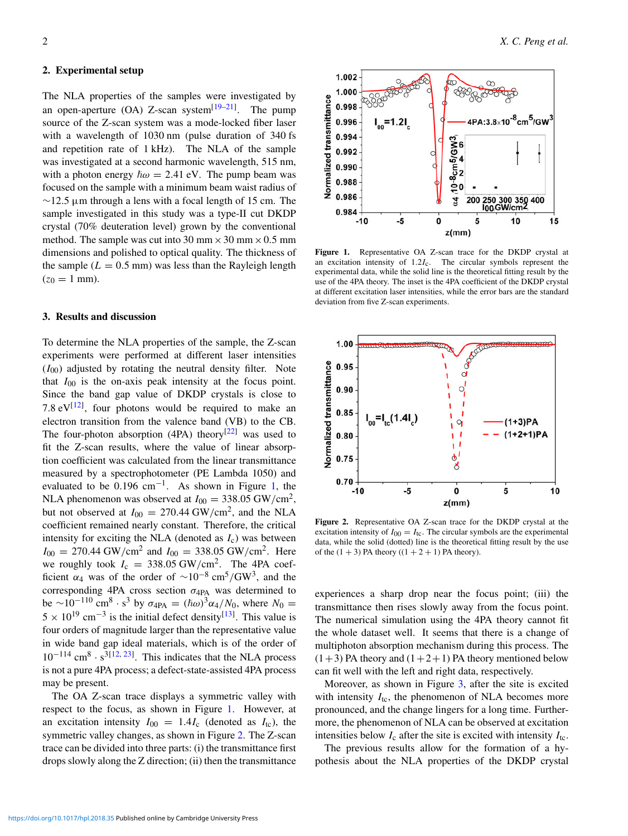# 2. Experimental setup

The NLA properties of the samples were investigated by an open-aperture (OA) Z-scan system $[19-21]$  $[19-21]$ . The pump source of the Z-scan system was a mode-locked fiber laser with a wavelength of 1030 nm (pulse duration of 340 fs and repetition rate of 1 kHz). The NLA of the sample was investigated at a second harmonic wavelength, 515 nm, with a photon energy  $\hbar \omega = 2.41$  eV. The pump beam was focused on the sample with a minimum beam waist radius of  $\sim$ 12.5 µm through a lens with a focal length of 15 cm. The sample investigated in this study was a type-II cut DKDP crystal (70% deuteration level) grown by the conventional method. The sample was cut into 30 mm  $\times$  30 mm  $\times$  0.5 mm dimensions and polished to optical quality. The thickness of the sample  $(L = 0.5$  mm) was less than the Rayleigh length  $(z_0 = 1$  mm).

#### 3. Results and discussion

To determine the NLA properties of the sample, the Z-scan experiments were performed at different laser intensities  $(I<sub>00</sub>)$  adjusted by rotating the neutral density filter. Note that  $I_{00}$  is the on-axis peak intensity at the focus point. Since the band gap value of DKDP crystals is close to 7.8  $eV^{[12]}$  $eV^{[12]}$  $eV^{[12]}$ , four photons would be required to make an electron transition from the valence band (VB) to the CB. The four-photon absorption (4PA) theory<sup>[\[22\]](#page-4-15)</sup> was used to fit the Z-scan results, where the value of linear absorption coefficient was calculated from the linear transmittance measured by a spectrophotometer (PE Lambda 1050) and evaluated to be  $0.196$  cm<sup>-1</sup>. As shown in Figure [1,](#page-1-0) the NLA phenomenon was observed at  $I_{00} = 338.05 \text{ GW/cm}^2$ , but not observed at  $I_{00} = 270.44$  GW/cm<sup>2</sup>, and the NLA coefficient remained nearly constant. Therefore, the critical intensity for exciting the NLA (denoted as  $I_c$ ) was between  $I_{00} = 270.44$  GW/cm<sup>2</sup> and  $I_{00} = 338.05$  GW/cm<sup>2</sup>. Here we roughly took  $I_c = 338.05 \text{ GW/cm}^2$ . The 4PA coefficient  $\alpha_4$  was of the order of  $\sim 10^{-8}$  cm<sup>5</sup>/GW<sup>3</sup>, and the corresponding 4PA cross section  $\sigma_{4PA}$  was determined to be ∼10<sup>-110</sup> cm<sup>8</sup> · s<sup>3</sup> by σ<sub>4PA</sub> = ( $\hbar \omega$ )<sup>3</sup>α<sub>4</sub>/*N*<sub>0</sub>, where *N*<sub>0</sub> =  $5 \times 10^{19}$  cm<sup>-3</sup> is the initial defect density<sup>[\[13\]](#page-4-8)</sup>. This value is four orders of magnitude larger than the representative value in wide band gap ideal materials, which is of the order of  $10^{-114}$  cm<sup>8</sup> · s<sup>3[\[12,](#page-4-6) [23\]](#page-4-16)</sup>. This indicates that the NLA process is not a pure 4PA process; a defect-state-assisted 4PA process may be present.

The OA Z-scan trace displays a symmetric valley with respect to the focus, as shown in Figure [1.](#page-1-0) However, at an excitation intensity  $I_{00} = 1.4I_c$  (denoted as  $I_{tc}$ ), the symmetric valley changes, as shown in Figure [2.](#page-1-1) The Z-scan trace can be divided into three parts: (i) the transmittance first drops slowly along the Z direction; (ii) then the transmittance

<span id="page-1-0"></span>

Figure 1. Representative OA Z-scan trace for the DKDP crystal at an excitation intensity of 1.2*I*c. The circular symbols represent the experimental data, while the solid line is the theoretical fitting result by the use of the 4PA theory. The inset is the 4PA coefficient of the DKDP crystal at different excitation laser intensities, while the error bars are the standard deviation from five Z-scan experiments.

<span id="page-1-1"></span>

Figure 2. Representative OA Z-scan trace for the DKDP crystal at the excitation intensity of  $I_{00} = I_{tc}$ . The circular symbols are the experimental data, while the solid (dotted) line is the theoretical fitting result by the use of the  $(1 + 3)$  PA theory  $((1 + 2 + 1)$  PA theory).

experiences a sharp drop near the focus point; (iii) the transmittance then rises slowly away from the focus point. The numerical simulation using the 4PA theory cannot fit the whole dataset well. It seems that there is a change of multiphoton absorption mechanism during this process. The  $(1+3)$  PA theory and  $(1+2+1)$  PA theory mentioned below can fit well with the left and right data, respectively.

Moreover, as shown in Figure [3,](#page-2-0) after the site is excited with intensity  $I_{tc}$ , the phenomenon of NLA becomes more pronounced, and the change lingers for a long time. Furthermore, the phenomenon of NLA can be observed at excitation intensities below  $I_c$  after the site is excited with intensity  $I_{tc}$ .

The previous results allow for the formation of a hypothesis about the NLA properties of the DKDP crystal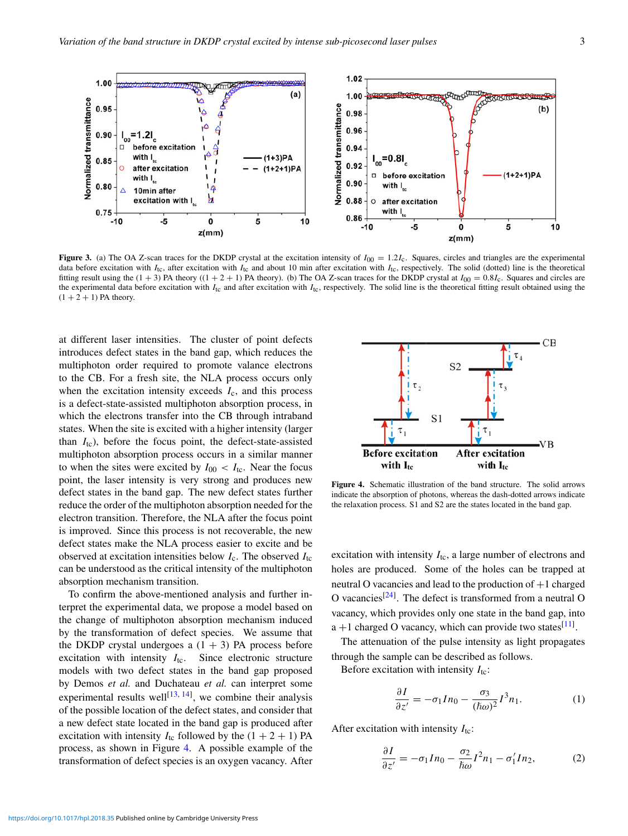<span id="page-2-0"></span>

Figure 3. (a) The OA Z-scan traces for the DKDP crystal at the excitation intensity of  $I_{00} = 1.2I_c$ . Squares, circles and triangles are the experimental data before excitation with *I*<sub>tc</sub>, after excitation with *I*<sub>tc</sub> and about 10 min after excitation with *I*<sub>tc</sub>, respectively. The solid (dotted) line is the theoretical fitting result using the  $(1 + 3)$  PA theory  $((1 + 2 + 1)$  PA theory). (b) The OA Z-scan traces for the DKDP crystal at  $I_{00} = 0.8I_c$ . Squares and circles are the experimental data before excitation with  $I_{tc}$  and after excitation with  $I_{tc}$ , respectively. The solid line is the theoretical fitting result obtained using the  $(1 + 2 + 1)$  PA theory.

at different laser intensities. The cluster of point defects introduces defect states in the band gap, which reduces the multiphoton order required to promote valance electrons to the CB. For a fresh site, the NLA process occurs only when the excitation intensity exceeds  $I_c$ , and this process is a defect-state-assisted multiphoton absorption process, in which the electrons transfer into the CB through intraband states. When the site is excited with a higher intensity (larger than *I*tc), before the focus point, the defect-state-assisted multiphoton absorption process occurs in a similar manner to when the sites were excited by  $I_{00} < I_{tc}$ . Near the focus point, the laser intensity is very strong and produces new defect states in the band gap. The new defect states further reduce the order of the multiphoton absorption needed for the electron transition. Therefore, the NLA after the focus point is improved. Since this process is not recoverable, the new defect states make the NLA process easier to excite and be observed at excitation intensities below  $I_c$ . The observed  $I_{tc}$ can be understood as the critical intensity of the multiphoton absorption mechanism transition.

To confirm the above-mentioned analysis and further interpret the experimental data, we propose a model based on the change of multiphoton absorption mechanism induced by the transformation of defect species. We assume that the DKDP crystal undergoes a  $(1 + 3)$  PA process before excitation with intensity  $I_{tc}$ . Since electronic structure models with two defect states in the band gap proposed by Demos *et al.* and Duchateau *et al.* can interpret some experimental results well<sup>[\[13,](#page-4-8) [14\]](#page-4-9)</sup>, we combine their analysis of the possible location of the defect states, and consider that a new defect state located in the band gap is produced after excitation with intensity  $I_{tc}$  followed by the  $(1 + 2 + 1)$  PA process, as shown in Figure [4.](#page-2-1) A possible example of the transformation of defect species is an oxygen vacancy. After

<span id="page-2-1"></span>

Figure 4. Schematic illustration of the band structure. The solid arrows indicate the absorption of photons, whereas the dash-dotted arrows indicate the relaxation process. S1 and S2 are the states located in the band gap.

excitation with intensity  $I_{tc}$ , a large number of electrons and holes are produced. Some of the holes can be trapped at neutral O vacancies and lead to the production of  $+1$  charged O vacancies<sup>[\[24\]](#page-4-17)</sup>. The defect is transformed from a neutral O vacancy, which provides only one state in the band gap, into  $a + 1$  charged O vacancy, which can provide two states<sup>[\[11\]](#page-4-5)</sup>.

The attenuation of the pulse intensity as light propagates through the sample can be described as follows.

Before excitation with intensity  $I_{tc}$ :

<span id="page-2-2"></span>
$$
\frac{\partial I}{\partial z'} = -\sigma_1 I n_0 - \frac{\sigma_3}{(\hbar \omega)^2} I^3 n_1.
$$
 (1)

After excitation with intensity  $I_{tc}$ :

<span id="page-2-3"></span>
$$
\frac{\partial I}{\partial z'} = -\sigma_1 I n_0 - \frac{\sigma_2}{\hbar \omega} I^2 n_1 - \sigma'_1 I n_2,\tag{2}
$$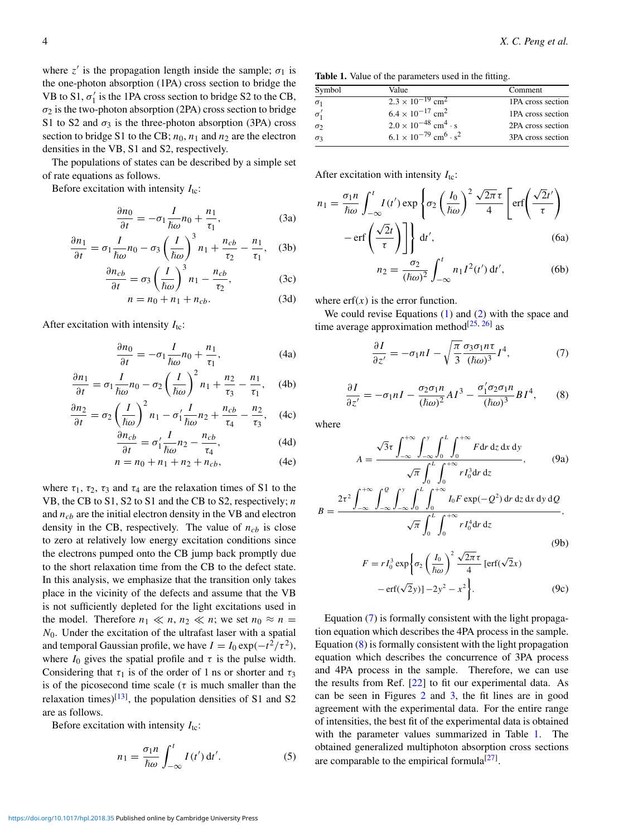where  $z'$  is the propagation length inside the sample;  $\sigma_1$  is the one-photon absorption (1PA) cross section to bridge the VB to  $S1, \sigma'_1$  is the 1PA cross section to bridge S2 to the CB,  $\sigma_2$  is the two-photon absorption (2PA) cross section to bridge S1 to S2 and  $\sigma_3$  is the three-photon absorption (3PA) cross section to bridge S1 to the CB;  $n_0$ ,  $n_1$  and  $n_2$  are the electron densities in the VB, S1 and S2, respectively.

The populations of states can be described by a simple set of rate equations as follows.

Before excitation with intensity  $I_{\text{tc}}$ :

$$
\frac{\partial n_0}{\partial t} = -\sigma_1 \frac{I}{\hbar \omega} n_0 + \frac{n_1}{\tau_1},\tag{3a}
$$

$$
\frac{\partial n_1}{\partial t} = \sigma_1 \frac{I}{\hbar \omega} n_0 - \sigma_3 \left(\frac{I}{\hbar \omega}\right)^3 n_1 + \frac{n_{cb}}{\tau_2} - \frac{n_1}{\tau_1}, \quad (3b)
$$

$$
\frac{\partial n_{cb}}{\partial t} = \sigma_3 \left(\frac{I}{\hbar \omega}\right)^3 n_1 - \frac{n_{cb}}{\tau_2},\tag{3c}
$$

$$
n = n_0 + n_1 + n_{cb}.\tag{3d}
$$

After excitation with intensity  $I_{tc}$ :

$$
\frac{\partial n_0}{\partial t} = -\sigma_1 \frac{I}{\hbar \omega} n_0 + \frac{n_1}{\tau_1},\tag{4a}
$$

$$
\frac{\partial n_1}{\partial t} = \sigma_1 \frac{I}{\hbar \omega} n_0 - \sigma_2 \left(\frac{I}{\hbar \omega}\right)^2 n_1 + \frac{n_2}{\tau_3} - \frac{n_1}{\tau_1}, \quad (4b)
$$

$$
\frac{\partial n_2}{\partial t} = \sigma_2 \left(\frac{I}{\hbar \omega}\right)^2 n_1 - \sigma_1' \frac{I}{\hbar \omega} n_2 + \frac{n_{cb}}{\tau_4} - \frac{n_2}{\tau_3}, \quad (4c)
$$

$$
\frac{\partial n_{cb}}{\partial t} = \sigma'_1 \frac{I}{\hbar \omega} n_2 - \frac{n_{cb}}{\tau_4},\tag{4d}
$$

$$
n = n_0 + n_1 + n_2 + n_{cb}, \t\t(4e)
$$

where  $\tau_1$ ,  $\tau_2$ ,  $\tau_3$  and  $\tau_4$  are the relaxation times of S1 to the VB, the CB to S1, S2 to S1 and the CB to S2, respectively; *n* and *ncb* are the initial electron density in the VB and electron density in the CB, respectively. The value of  $n_{cb}$  is close to zero at relatively low energy excitation conditions since the electrons pumped onto the CB jump back promptly due to the short relaxation time from the CB to the defect state. In this analysis, we emphasize that the transition only takes place in the vicinity of the defects and assume that the VB is not sufficiently depleted for the light excitations used in the model. Therefore  $n_1 \ll n$ ,  $n_2 \ll n$ ; we set  $n_0 \approx n$  = *N*0. Under the excitation of the ultrafast laser with a spatial and temporal Gaussian profile, we have  $I = I_0 \exp(-t^2/\tau^2)$ , where  $I_0$  gives the spatial profile and  $\tau$  is the pulse width. Considering that  $\tau_1$  is of the order of 1 ns or shorter and  $\tau_3$ is of the picosecond time scale ( $\tau$  is much smaller than the relaxation times)<sup>[\[13\]](#page-4-8)</sup>, the population densities of S1 and S2 are as follows.

Before excitation with intensity  $I_{\text{tc}}$ :

$$
n_1 = \frac{\sigma_1 n}{\hbar \omega} \int_{-\infty}^{t} I(t') dt'.
$$
 (5)

<span id="page-3-2"></span>Table 1. Value of the parameters used in the fitting.

| Symbol        | Value                                                  | Comment           |
|---------------|--------------------------------------------------------|-------------------|
| $\sigma_1$    | $2.3 \times 10^{-19}$ cm <sup>2</sup>                  | 1PA cross section |
| $\sigma'_{1}$ | $6.4 \times 10^{-17}$ cm <sup>2</sup>                  | 1PA cross section |
| $\sigma_2$    | $2.0 \times 10^{-48}$ cm <sup>4</sup> · s              | 2PA cross section |
| $\sigma_3$    | $6.1 \times 10^{-79}$ cm <sup>6</sup> · s <sup>2</sup> | 3PA cross section |
|               |                                                        |                   |

After excitation with intensity  $I_{tc}$ :

$$
n_1 = \frac{\sigma_1 n}{\hbar \omega} \int_{-\infty}^t I(t') \exp\left\{\sigma_2 \left(\frac{I_0}{\hbar \omega}\right)^2 \frac{\sqrt{2\pi} \tau}{4} \left[\text{erf}\left(\frac{\sqrt{2}t'}{\tau}\right) - \text{erf}\left(\frac{\sqrt{2}t'}{\tau}\right)\right] \right\} dt',\tag{6a}
$$

$$
n_2 = \frac{\sigma_2}{(\hbar \omega)^2} \int_{-\infty}^{t} n_1 I^2(t') dt', \tag{6b}
$$

where  $erf(x)$  is the error function.

We could revise Equations  $(1)$  and  $(2)$  with the space and time average approximation method $^{[25, 26]}$  $^{[25, 26]}$  $^{[25, 26]}$  $^{[25, 26]}$  $^{[25, 26]}$  as

<span id="page-3-0"></span>
$$
\frac{\partial I}{\partial z'} = -\sigma_1 nI - \sqrt{\frac{\pi}{3}} \frac{\sigma_3 \sigma_1 n \tau}{(\hbar \omega)^3} I^4,\tag{7}
$$

<span id="page-3-1"></span>
$$
\frac{\partial I}{\partial z'} = -\sigma_1 nI - \frac{\sigma_2 \sigma_1 n}{(\hbar \omega)^2} A I^3 - \frac{\sigma'_1 \sigma_2 \sigma_1 n}{(\hbar \omega)^3} B I^4,\tag{8}
$$

where

$$
A = \frac{\sqrt{3}\tau \int_{-\infty}^{+\infty} \int_{-\infty}^{y} \int_{0}^{L} \int_{0}^{+\infty} F dr dz dx dy}{\sqrt{\pi} \int_{0}^{L} \int_{0}^{+\infty} r I_0^3 dr dz}, \qquad (9a)
$$

$$
B = \frac{2\tau^2 \int_{-\infty}^{\infty} \int_{-\infty}^{\infty} \int_{0}^{\infty} \int_{0}^{\infty} I_0 F \exp(-Q^2) \, dr \, dz \, dx \, dy \, dQ}{\sqrt{\pi} \int_{0}^{L} \int_{0}^{+\infty} r I_0^4 dr \, dz},
$$
\n(9b)

$$
F = rI_0^3 \exp\left\{\sigma_2 \left(\frac{I_0}{\hbar \omega}\right)^2 \frac{\sqrt{2\pi} \tau}{4} \left[\text{erf}(\sqrt{2}x) - \text{erf}(\sqrt{2}y)\right] - 2y^2 - x^2\right\}.
$$
 (9c)

Equation [\(7\)](#page-3-0) is formally consistent with the light propagation equation which describes the 4PA process in the sample. Equation [\(8\)](#page-3-1) is formally consistent with the light propagation equation which describes the concurrence of 3PA process and 4PA process in the sample. Therefore, we can use the results from Ref. [\[22\]](#page-4-15) to fit our experimental data. As can be seen in Figures [2](#page-1-1) and [3,](#page-2-0) the fit lines are in good agreement with the experimental data. For the entire range of intensities, the best fit of the experimental data is obtained with the parameter values summarized in Table [1.](#page-3-2) The obtained generalized multiphoton absorption cross sections are comparable to the empirical formula<sup>[\[27\]](#page-4-20)</sup>.